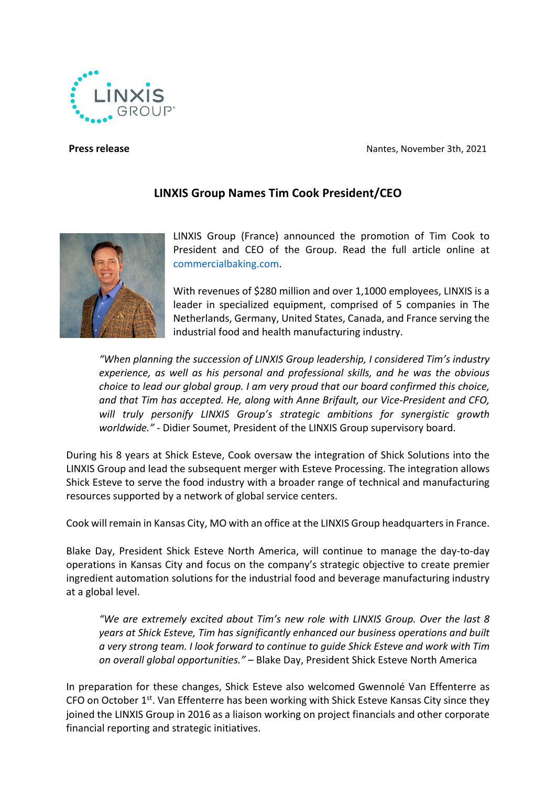**Press release** Nantes, November 3th, 2021



## **LINXIS Group Names Tim Cook President/CEO**



LINXIS Group (France) announced the promotion of Tim Cook to President and CEO of the Group. Read the full article online at [commercialbaking.com.](https://commercialbaking.com/tim-cook-takes-the-reins-as-president-ceo-of-linxis-group/)

With revenues of \$280 million and over 1,1000 employees, LINXIS is a leader in specialized equipment, comprised of 5 companies in The Netherlands, Germany, United States, Canada, and France serving the industrial food and health manufacturing industry.

*"When planning the succession of LINXIS Group leadership, I considered Tim's industry experience, as well as his personal and professional skills, and he was the obvious choice to lead our global group. I am very proud that our board confirmed this choice, and that Tim has accepted. He, along with Anne Brifault, our Vice-President and CFO, will truly personify LINXIS Group's strategic ambitions for synergistic growth worldwide." -* Didier Soumet, President of the LINXIS Group supervisory board.

During his 8 years at Shick Esteve, Cook oversaw the integration of Shick Solutions into the LINXIS Group and lead the subsequent merger with Esteve Processing. The integration allows Shick Esteve to serve the food industry with a broader range of technical and manufacturing resources supported by a network of global service centers.

Cook will remain in Kansas City, MO with an office at the LINXIS Group headquarters in France.

Blake Day, President Shick Esteve North America, will continue to manage the day-to-day operations in Kansas City and focus on the company's strategic objective to create premier ingredient automation solutions for the industrial food and beverage manufacturing industry at a global level.

*"We are extremely excited about Tim's new role with LINXIS Group. Over the last 8 years at Shick Esteve, Tim has significantly enhanced our business operations and built a very strong team. I look forward to continue to guide Shick Esteve and work with Tim on overall global opportunities."* – Blake Day, President Shick Esteve North America

In preparation for these changes, Shick Esteve also welcomed Gwennolé Van Effenterre as CFO on October  $1^{st}$ . Van Effenterre has been working with Shick Esteve Kansas City since they joined the LINXIS Group in 2016 as a liaison working on project financials and other corporate financial reporting and strategic initiatives.